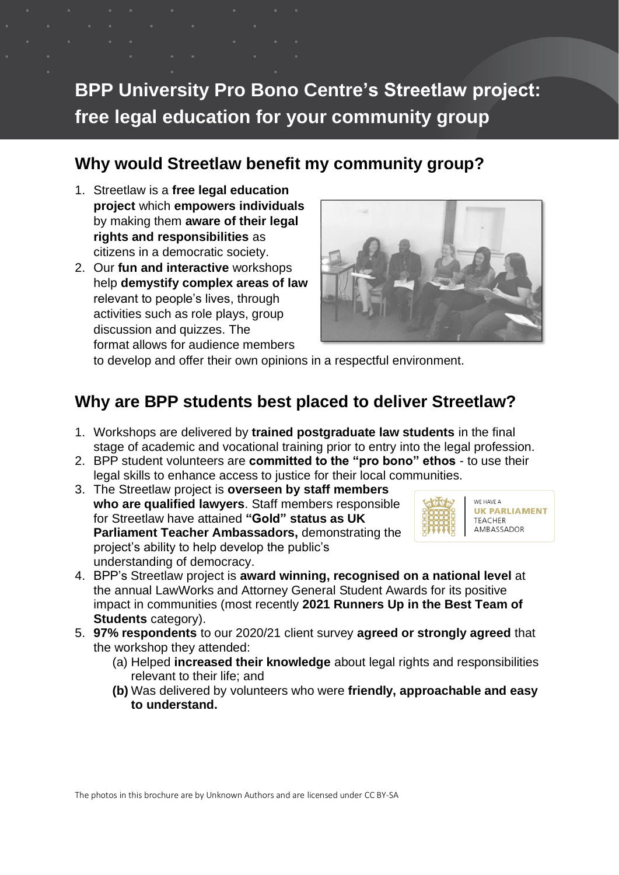# **BPP University Pro Bono Centre's Streetlaw project: free legal education for your community group**

#### **Why would Streetlaw benefit my community group?**

- 1. Streetlaw is a **free legal education project** which **empowers individuals** by making them **aware of their legal rights and responsibilities** as citizens in a democratic society.
- 2. Our **fun and interactive** workshops help **demystify complex areas of law** relevant to people's lives, through activities such as role plays, group discussion and quizzes. The format allows for audience members



to develop and offer their own opinions in a respectful environment.

### **Why are BPP students best placed to deliver Streetlaw?**

- 1. Workshops are delivered by **trained postgraduate law students** in the final stage of academic and vocational training prior to entry into the legal profession.
- 2. BPP student volunteers are **committed to the "pro bono" ethos** to use their legal skills to enhance access to justice for their local communities.
- 3. The Streetlaw project is **overseen by staff members who are qualified lawyers**. Staff members responsible for Streetlaw have attained **"Gold" status as UK Parliament Teacher Ambassadors,** demonstrating the project's ability to help develop the public's understanding of democracy.



- 4. BPP's Streetlaw project is **award winning, recognised on a national level** at the annual LawWorks and Attorney General Student Awards for its positive impact in communities (most recently **2021 Runners Up in the Best Team of Students** category).
- 5. **97% respondents** to our 2020/21 client survey **agreed or strongly agreed** that the workshop they attended:
	- (a) Helped **increased their knowledge** about legal rights and responsibilities relevant to their life; and
	- **(b)** Was delivered by volunteers who were **friendly, approachable and easy to understand.**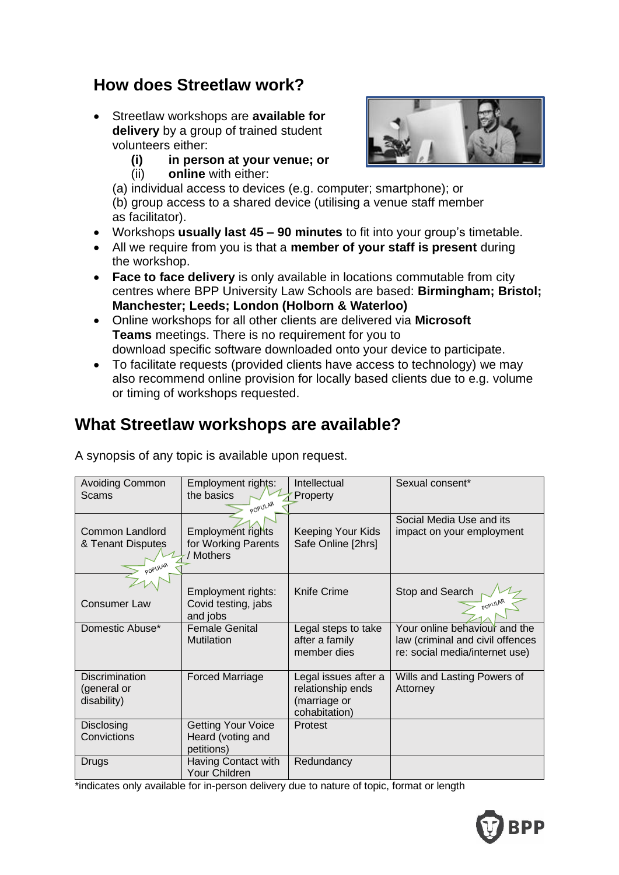#### **How does Streetlaw work?**

- Streetlaw workshops are **available for delivery** by a group of trained student volunteers either:
	- **(i) in person at your venue; or**
	- (ii) **online** with either:



- (a) individual access to devices (e.g. computer; smartphone); or (b) group access to a shared device (utilising a venue staff member
- as facilitator).
- Workshops **usually last 45 – 90 minutes** to fit into your group's timetable.
- All we require from you is that a **member of your staff is present** during the workshop.
- **Face to face delivery** is only available in locations commutable from city centres where BPP University Law Schools are based: **Birmingham; Bristol; Manchester; Leeds; London (Holborn & Waterloo)**
- Online workshops for all other clients are delivered via **Microsoft Teams** meetings. There is no requirement for you to download specific software downloaded onto your device to participate.
- To facilitate requests (provided clients have access to technology) we may also recommend online provision for locally based clients due to e.g. volume or timing of workshops requested.

## **What Streetlaw workshops are available?**

| <b>Avoiding Common</b><br>Scams                        | Employment rights:<br>the basics<br>POPULAR                  | Intellectual<br>Property                                                   | Sexual consent*                                                                                     |
|--------------------------------------------------------|--------------------------------------------------------------|----------------------------------------------------------------------------|-----------------------------------------------------------------------------------------------------|
| Common Landlord<br>& Tenant Disputes<br><b>POPULAR</b> | Employment rights<br>for Working Parents<br>/ Mothers        | <b>Keeping Your Kids</b><br>Safe Online [2hrs]                             | Social Media Use and its<br>impact on your employment                                               |
| <b>Consumer Law</b>                                    | Employment rights:<br>Covid testing, jabs<br>and jobs        | <b>Knife Crime</b>                                                         | Stop and Search<br>POPULAL                                                                          |
| Domestic Abuse*                                        | <b>Female Genital</b><br><b>Mutilation</b>                   | Legal steps to take<br>after a family<br>member dies                       | Your online behaviour and the<br>law (criminal and civil offences<br>re: social media/internet use) |
| <b>Discrimination</b><br>(general or<br>disability)    | <b>Forced Marriage</b>                                       | Legal issues after a<br>relationship ends<br>(marriage or<br>cohabitation) | Wills and Lasting Powers of<br>Attorney                                                             |
| Disclosing<br>Convictions                              | <b>Getting Your Voice</b><br>Heard (voting and<br>petitions) | <b>Protest</b>                                                             |                                                                                                     |
| <b>Drugs</b>                                           | Having Contact with<br>Your Children                         | Redundancy                                                                 |                                                                                                     |

A synopsis of any topic is available upon request.

\*indicates only available for in-person delivery due to nature of topic, format or length